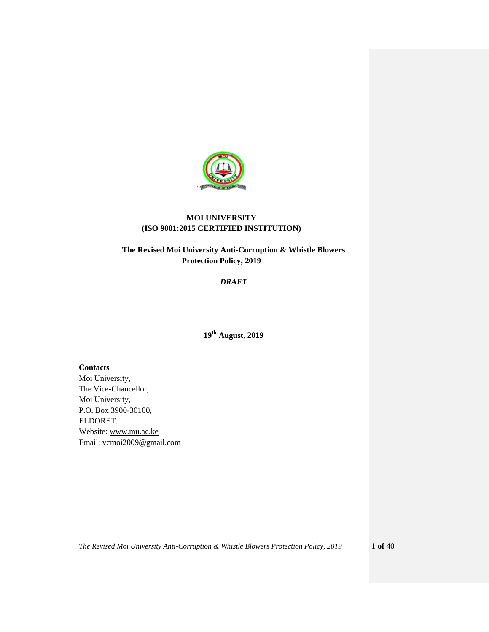

# **MOI UNIVERSITY (ISO 9001:2015 CERTIFIED INSTITUTION)**

# **The Revised Moi University Anti-Corruption & Whistle Blowers Protection Policy, 2019**

## *DRAFT*

**19 th August, 2019** 

**Contacts**  Moi University, The Vice-Chancellor, Moi University, P.O. Box 3900-30100, ELDORET. Website: [www.mu.ac.ke](http://www.mu.ac.ke/) Email: [vcmoi2009@gmail.com](mailto:vcmoi2009@gmail.com)

*The Revised Moi University Anti-Corruption & Whistle Blowers Protection Policy, 2019* 1 **of** 40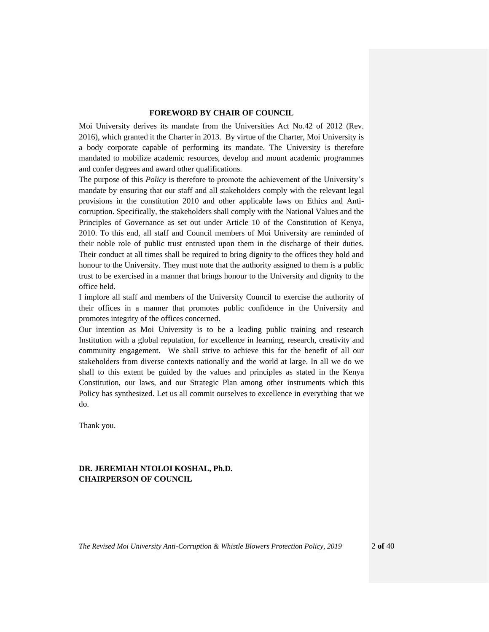## **FOREWORD BY CHAIR OF COUNCIL**

<span id="page-1-0"></span>Moi University derives its mandate from the Universities Act No.42 of 2012 (Rev. 2016), which granted it the Charter in 2013. By virtue of the Charter, Moi University is a body corporate capable of performing its mandate. The University is therefore mandated to mobilize academic resources, develop and mount academic programmes and confer degrees and award other qualifications.

The purpose of this *Policy* is therefore to promote the achievement of the University's mandate by ensuring that our staff and all stakeholders comply with the relevant legal provisions in the constitution 2010 and other applicable laws on Ethics and Anticorruption. Specifically, the stakeholders shall comply with the National Values and the Principles of Governance as set out under Article 10 of the Constitution of Kenya, 2010. To this end, all staff and Council members of Moi University are reminded of their noble role of public trust entrusted upon them in the discharge of their duties. Their conduct at all times shall be required to bring dignity to the offices they hold and honour to the University. They must note that the authority assigned to them is a public trust to be exercised in a manner that brings honour to the University and dignity to the office held.

I implore all staff and members of the University Council to exercise the authority of their offices in a manner that promotes public confidence in the University and promotes integrity of the offices concerned.

Our intention as Moi University is to be a leading public training and research Institution with a global reputation, for excellence in learning, research, creativity and community engagement. We shall strive to achieve this for the benefit of all our stakeholders from diverse contexts nationally and the world at large. In all we do we shall to this extent be guided by the values and principles as stated in the Kenya Constitution, our laws, and our Strategic Plan among other instruments which this Policy has synthesized. Let us all commit ourselves to excellence in everything that we do.

Thank you.

## **DR. JEREMIAH NTOLOI KOSHAL, Ph.D. CHAIRPERSON OF COUNCIL**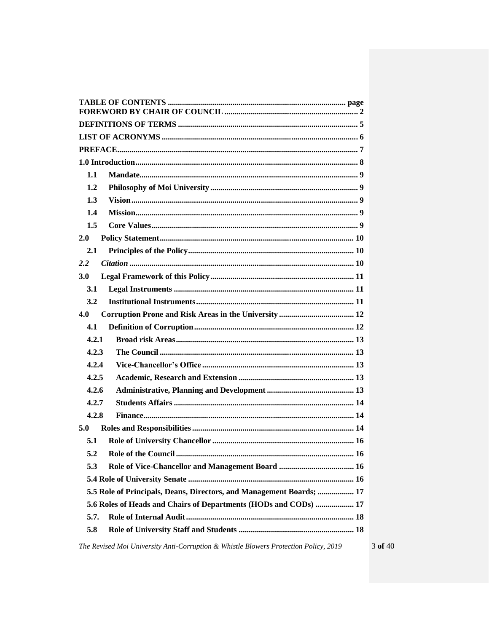| 1.1                                                                  |
|----------------------------------------------------------------------|
| 1.2                                                                  |
| 1.3                                                                  |
| 1.4                                                                  |
| 1.5                                                                  |
| 2.0                                                                  |
| 2.1                                                                  |
| 2.2                                                                  |
| 3.0                                                                  |
| 3.1                                                                  |
| 3.2                                                                  |
| 4.0                                                                  |
| 4.1                                                                  |
| 4.2.1                                                                |
| 4.2.3                                                                |
| 4.2.4                                                                |
| 4.2.5                                                                |
| 4.2.6                                                                |
| 4.2.7                                                                |
| 4.2.8                                                                |
| 5.0                                                                  |
| 5.1                                                                  |
| 5.2                                                                  |
| 5.3                                                                  |
|                                                                      |
| 5.5 Role of Principals, Deans, Directors, and Management Boards;  17 |
| 5.6 Roles of Heads and Chairs of Departments (HODs and CODs)  17     |
| 5.7.                                                                 |
| 5.8                                                                  |
|                                                                      |

The Revised Moi University Anti-Corruption & Whistle Blowers Protection Policy, 2019

 $3$  of  $40\,$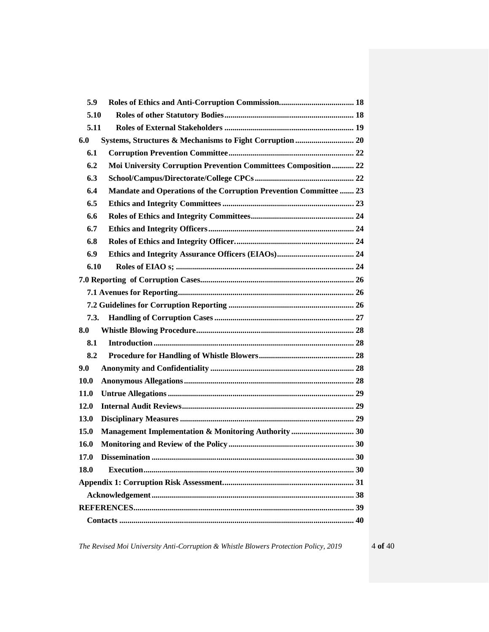| 5.9                                                                      |
|--------------------------------------------------------------------------|
| 5.10                                                                     |
| 5.11                                                                     |
| 6.0                                                                      |
| 6.1                                                                      |
| Moi University Corruption Prevention Committees Composition 22<br>6.2    |
| 6.3                                                                      |
| 6.4<br>Mandate and Operations of the Corruption Prevention Committee  23 |
| 6.5                                                                      |
| 6.6                                                                      |
| 6.7                                                                      |
| 6.8                                                                      |
| 6.9                                                                      |
| 6.10                                                                     |
|                                                                          |
|                                                                          |
|                                                                          |
| 7.3.                                                                     |
| 8.0                                                                      |
| 8.1                                                                      |
| 8.2                                                                      |
| 9.0                                                                      |
| <b>10.0</b>                                                              |
| <b>11.0</b>                                                              |
| 12.0                                                                     |
| 13.0                                                                     |
| 15.0                                                                     |
| 16.0                                                                     |
| 17.0                                                                     |
| 18.0                                                                     |
|                                                                          |
|                                                                          |
|                                                                          |
|                                                                          |

*The Revised Moi University Anti-Corruption & Whistle Blowers Protection Policy, 2019* 4 **of** 40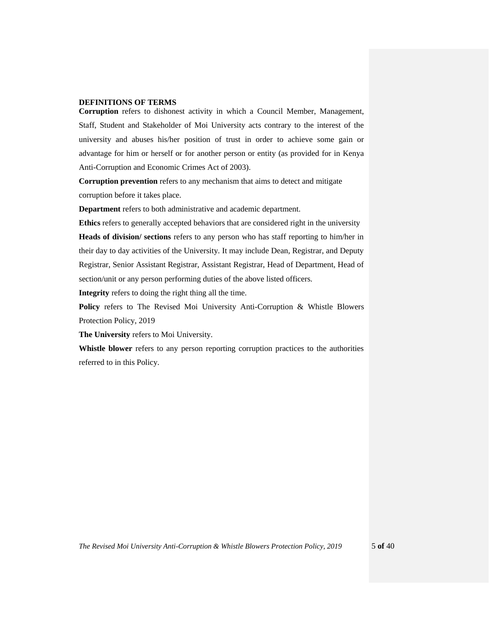## <span id="page-4-0"></span>**DEFINITIONS OF TERMS**

**Corruption** refers to dishonest activity in which a Council Member, Management, Staff, Student and Stakeholder of Moi University acts contrary to the interest of the university and abuses his/her position of trust in order to achieve some gain or advantage for him or herself or for another person or entity (as provided for in Kenya Anti-Corruption and Economic Crimes Act of 2003).

**Corruption prevention** refers to any mechanism that aims to detect and mitigate corruption before it takes place.

**Department** refers to both administrative and academic department.

**Ethics** refers to generally accepted behaviors that are considered right in the university **Heads of division/ sections** refers to any person who has staff reporting to him/her in their day to day activities of the University. It may include Dean, Registrar, and Deputy Registrar, Senior Assistant Registrar, Assistant Registrar, Head of Department, Head of section/unit or any person performing duties of the above listed officers.

**Integrity** refers to doing the right thing all the time.

**Policy** refers to The Revised Moi University Anti-Corruption & Whistle Blowers Protection Policy, 2019

**The University** refers to Moi University.

**Whistle blower** refers to any person reporting corruption practices to the authorities referred to in this Policy.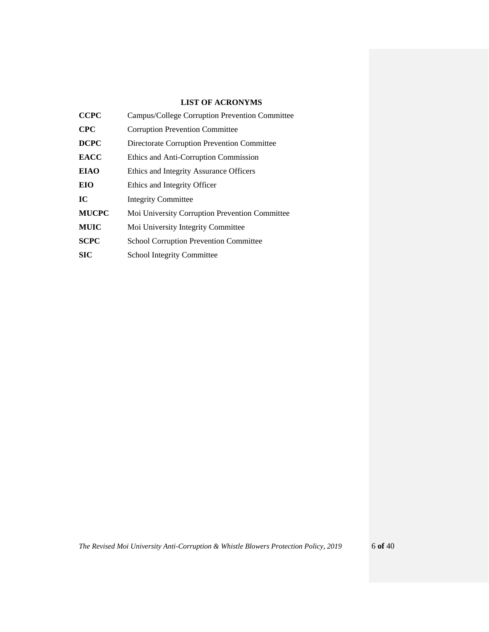# **LIST OF ACRONYMS**

<span id="page-5-0"></span>

| <b>CCPC</b>  | Campus/College Corruption Prevention Committee |  |  |
|--------------|------------------------------------------------|--|--|
| <b>CPC</b>   | <b>Corruption Prevention Committee</b>         |  |  |
| <b>DCPC</b>  | Directorate Corruption Prevention Committee    |  |  |
| <b>EACC</b>  | Ethics and Anti-Corruption Commission          |  |  |
| <b>EIAO</b>  | Ethics and Integrity Assurance Officers        |  |  |
| EIO          | Ethics and Integrity Officer                   |  |  |
| IC           | <b>Integrity Committee</b>                     |  |  |
| <b>MUCPC</b> | Moi University Corruption Prevention Committee |  |  |
| <b>MUIC</b>  | Moi University Integrity Committee             |  |  |
| <b>SCPC</b>  | School Corruption Prevention Committee         |  |  |
| <b>SIC</b>   | <b>School Integrity Committee</b>              |  |  |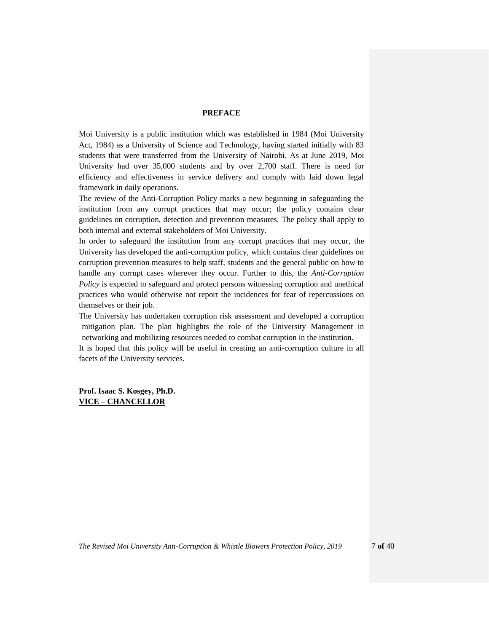#### **PREFACE**

<span id="page-6-0"></span>Moi University is a public institution which was established in 1984 (Moi University Act, 1984) as a University of Science and Technology, having started initially with 83 students that were transferred from the University of Nairobi. As at June 2019, Moi University had over 35,000 students and by over 2,700 staff. There is need for efficiency and effectiveness in service delivery and comply with laid down legal framework in daily operations.

The review of the Anti-Corruption Policy marks a new beginning in safeguarding the institution from any corrupt practices that may occur; the policy contains clear guidelines on corruption, detection and prevention measures. The policy shall apply to both internal and external stakeholders of Moi University.

In order to safeguard the institution from any corrupt practices that may occur, the University has developed the anti-corruption policy, which contains clear guidelines on corruption prevention measures to help staff, students and the general public on how to handle any corrupt cases wherever they occur. Further to this, the *Anti-Corruption Policy* is expected to safeguard and protect persons witnessing corruption and unethical practices who would otherwise not report the incidences for fear of repercussions on themselves or their job.

The University has undertaken corruption risk assessment and developed a corruption mitigation plan. The plan highlights the role of the University Management in networking and mobilizing resources needed to combat corruption in the institution.

It is hoped that this policy will be useful in creating an anti-corruption culture in all facets of the University services.

**Prof. Isaac S. Kosgey, Ph.D. VICE – CHANCELLOR**

*The Revised Moi University Anti-Corruption & Whistle Blowers Protection Policy, 2019* 7 **of** 40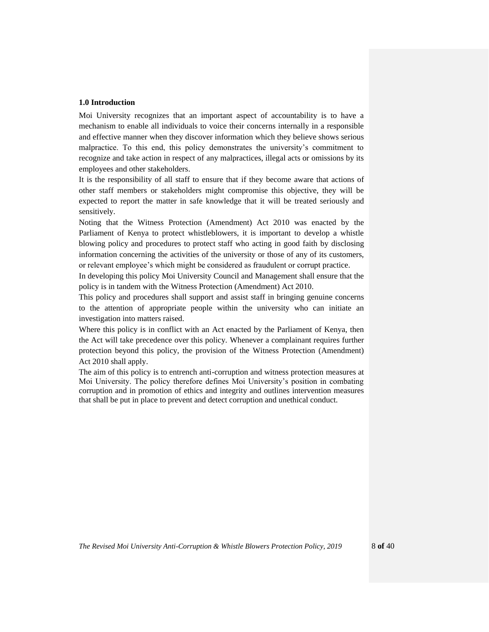## <span id="page-7-0"></span>**1.0 Introduction**

Moi University recognizes that an important aspect of accountability is to have a mechanism to enable all individuals to voice their concerns internally in a responsible and effective manner when they discover information which they believe shows serious malpractice. To this end, this policy demonstrates the university's commitment to recognize and take action in respect of any malpractices, illegal acts or omissions by its employees and other stakeholders.

It is the responsibility of all staff to ensure that if they become aware that actions of other staff members or stakeholders might compromise this objective, they will be expected to report the matter in safe knowledge that it will be treated seriously and sensitively.

Noting that the Witness Protection (Amendment) Act 2010 was enacted by the Parliament of Kenya to protect whistleblowers, it is important to develop a whistle blowing policy and procedures to protect staff who acting in good faith by disclosing information concerning the activities of the university or those of any of its customers, or relevant employee's which might be considered as fraudulent or corrupt practice.

In developing this policy Moi University Council and Management shall ensure that the policy is in tandem with the Witness Protection (Amendment) Act 2010.

This policy and procedures shall support and assist staff in bringing genuine concerns to the attention of appropriate people within the university who can initiate an investigation into matters raised.

Where this policy is in conflict with an Act enacted by the Parliament of Kenya, then the Act will take precedence over this policy. Whenever a complainant requires further protection beyond this policy, the provision of the Witness Protection (Amendment) Act 2010 shall apply.

The aim of this policy is to entrench anti-corruption and witness protection measures at Moi University. The policy therefore defines Moi University's position in combating corruption and in promotion of ethics and integrity and outlines intervention measures that shall be put in place to prevent and detect corruption and unethical conduct.

*The Revised Moi University Anti-Corruption & Whistle Blowers Protection Policy, 2019* 8 **of** 40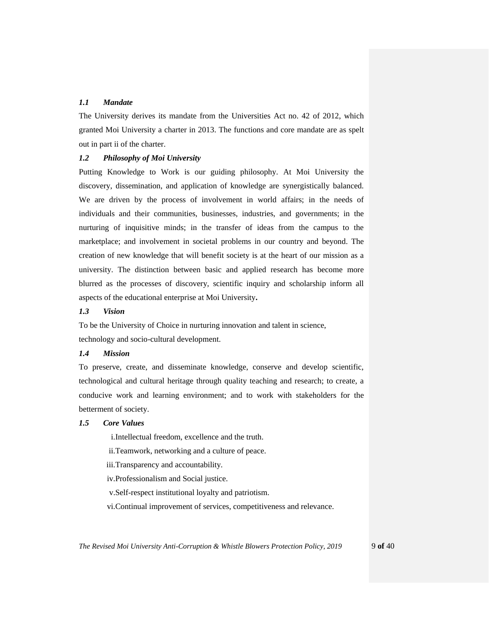## <span id="page-8-0"></span>*1.1 Mandate*

The University derives its mandate from the Universities Act no. 42 of 2012, which granted Moi University a charter in 2013. The functions and core mandate are as spelt out in part ii of the charter.

## <span id="page-8-1"></span>*1.2 Philosophy of Moi University*

Putting Knowledge to Work is our guiding philosophy. At Moi University the discovery, dissemination, and application of knowledge are synergistically balanced. We are driven by the process of involvement in world affairs; in the needs of individuals and their communities, businesses, industries, and governments; in the nurturing of inquisitive minds; in the transfer of ideas from the campus to the marketplace; and involvement in societal problems in our country and beyond. The creation of new knowledge that will benefit society is at the heart of our mission as a university. The distinction between basic and applied research has become more blurred as the processes of discovery, scientific inquiry and scholarship inform all aspects of the educational enterprise at Moi University**.**

### <span id="page-8-2"></span>*1.3 Vision*

To be the University of Choice in nurturing innovation and talent in science, technology and socio-cultural development.

#### <span id="page-8-3"></span>*1.4 Mission*

To preserve, create, and disseminate knowledge, conserve and develop scientific, technological and cultural heritage through quality teaching and research; to create, a conducive work and learning environment; and to work with stakeholders for the betterment of society.

#### <span id="page-8-4"></span>*1.5 Core Values*

i.Intellectual freedom, excellence and the truth.

- ii.Teamwork, networking and a culture of peace.
- iii.Transparency and accountability.
- iv.Professionalism and Social justice.
- v.Self-respect institutional loyalty and patriotism.
- vi.Continual improvement of services, competitiveness and relevance.

*The Revised Moi University Anti-Corruption & Whistle Blowers Protection Policy, 2019* 9 **of** 40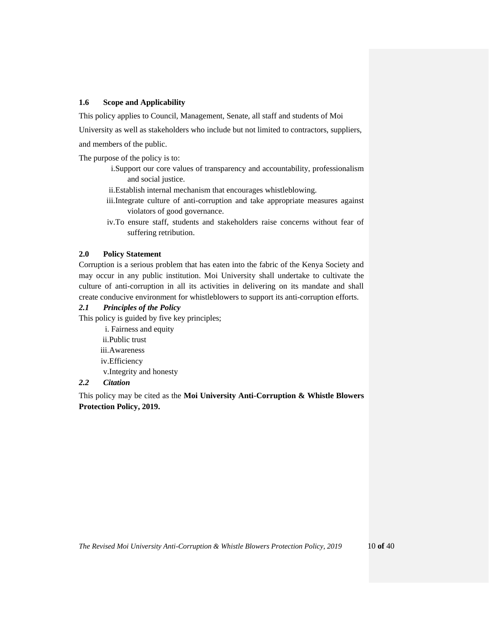## **1.6 Scope and Applicability**

This policy applies to Council, Management, Senate, all staff and students of Moi

University as well as stakeholders who include but not limited to contractors, suppliers,

and members of the public.

The purpose of the policy is to:

- i.Support our core values of transparency and accountability, professionalism and social justice.
- ii.Establish internal mechanism that encourages whistleblowing.
- iii.Integrate culture of anti-corruption and take appropriate measures against violators of good governance.
- iv.To ensure staff, students and stakeholders raise concerns without fear of suffering retribution.

#### <span id="page-9-0"></span>**2.0 Policy Statement**

Corruption is a serious problem that has eaten into the fabric of the Kenya Society and may occur in any public institution. Moi University shall undertake to cultivate the culture of anti-corruption in all its activities in delivering on its mandate and shall create conducive environment for whistleblowers to support its anti-corruption efforts.

## <span id="page-9-1"></span>*2.1 Principles of the Policy*

This policy is guided by five key principles;

i. Fairness and equity ii.Public trust iii.Awareness iv.Efficiency v.Integrity and honesty

# <span id="page-9-2"></span>*2.2 Citation*

This policy may be cited as the **Moi University Anti-Corruption & Whistle Blowers Protection Policy, 2019.**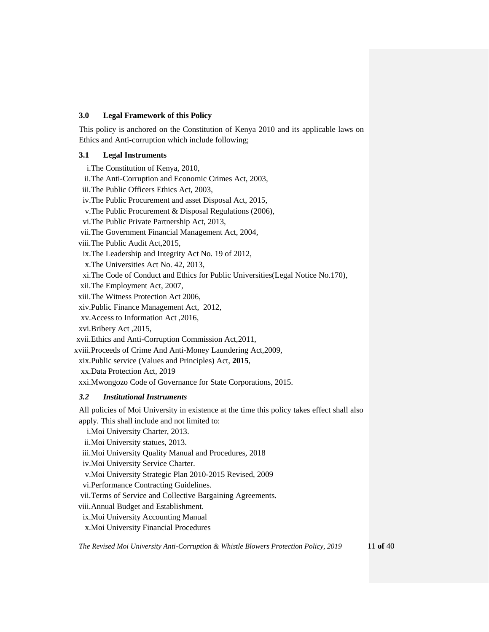## <span id="page-10-0"></span>**3.0 Legal Framework of this Policy**

This policy is anchored on the Constitution of Kenya 2010 and its applicable laws on Ethics and Anti-corruption which include following;

## <span id="page-10-1"></span>**3.1 Legal Instruments**

i.The Constitution of Kenya, 2010, ii.The Anti-Corruption and Economic Crimes Act, 2003, iii.The Public Officers Ethics Act, 2003, iv.The Public Procurement and asset Disposal Act, 2015, v.The Public Procurement & Disposal Regulations (2006), vi.The Public Private Partnership Act, 2013, vii.The Government Financial Management Act, 2004, viii.The Public Audit Act,2015, ix.The Leadership and Integrity Act No. 19 of 2012, x.The Universities Act No. 42, 2013, xi.The Code of Conduct and Ethics for Public Universities(Legal Notice No.170), xii.The Employment Act, 2007, xiii.The Witness Protection Act 2006, xiv.Public Finance Management Act, 2012, xv.Access to Information Act ,2016, xvi.Bribery Act ,2015, xvii.Ethics and Anti-Corruption Commission Act,2011, xviii.Proceeds of Crime And Anti-Money Laundering Act,2009, xix.Public service (Values and Principles) Act, **2015**, xx.Data Protection Act, 2019 xxi.Mwongozo Code of Governance for State Corporations, 2015. *3.2 Institutional Instruments* All policies of Moi University in existence at the time this policy takes effect shall also apply. This shall include and not limited to: i.Moi University Charter, 2013.

<span id="page-10-2"></span>ii.Moi University statues, 2013.

iii.Moi University Quality Manual and Procedures, 2018

iv.Moi University Service Charter.

v.Moi University Strategic Plan 2010-2015 Revised, 2009

vi.Performance Contracting Guidelines.

vii.Terms of Service and Collective Bargaining Agreements.

viii.Annual Budget and Establishment.

ix.Moi University Accounting Manual

x.Moi University Financial Procedures

*The Revised Moi University Anti-Corruption & Whistle Blowers Protection Policy, 2019* 11 **of** 40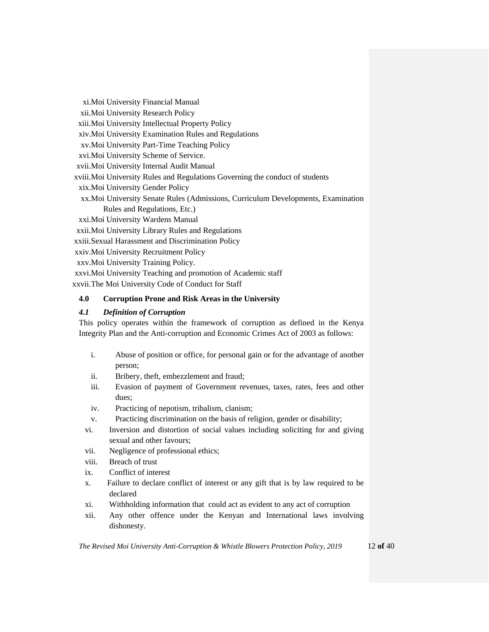xi.Moi University Financial Manual xii.Moi University Research Policy xiii.Moi University Intellectual Property Policy xiv.Moi University Examination Rules and Regulations xv.Moi University Part-Time Teaching Policy xvi.Moi University Scheme of Service. xvii.Moi University Internal Audit Manual xviii.Moi University Rules and Regulations Governing the conduct of students xix.Moi University Gender Policy xx.Moi University Senate Rules (Admissions, Curriculum Developments, Examination Rules and Regulations, Etc.) xxi.Moi University Wardens Manual xxii.Moi University Library Rules and Regulations xxiii.Sexual Harassment and Discrimination Policy xxiv.Moi University Recruitment Policy xxv.Moi University Training Policy. xxvi.Moi University Teaching and promotion of Academic staff

## xxvii.The Moi University Code of Conduct for Staff

## <span id="page-11-0"></span>**4.0 Corruption Prone and Risk Areas in the University**

## <span id="page-11-1"></span>*4.1 Definition of Corruption*

This policy operates within the framework of corruption as defined in the Kenya Integrity Plan and the Anti-corruption and Economic Crimes Act of 2003 as follows:

- i. Abuse of position or office, for personal gain or for the advantage of another person;
- ii. Bribery, theft, embezzlement and fraud;
- iii. Evasion of payment of Government revenues, taxes, rates, fees and other dues;
- iv. Practicing of nepotism, tribalism, clanism;
- v. Practicing discrimination on the basis of religion, gender or disability;
- vi. Inversion and distortion of social values including soliciting for and giving sexual and other favours;
- vii. Negligence of professional ethics;
- viii. Breach of trust
- ix. Conflict of interest
- x. Failure to declare conflict of interest or any gift that is by law required to be declared
- xi. Withholding information that could act as evident to any act of corruption
- xii. Any other offence under the Kenyan and International laws involving dishonesty.

*The Revised Moi University Anti-Corruption & Whistle Blowers Protection Policy, 2019* 12 **of** 40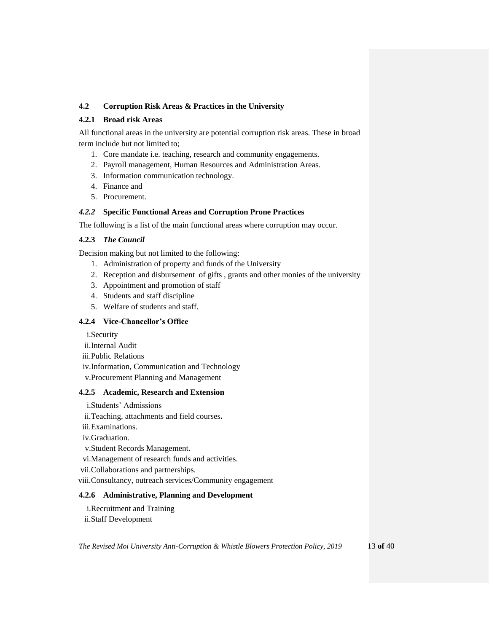## **4.2 Corruption Risk Areas & Practices in the University**

## <span id="page-12-0"></span>**4.2.1 Broad risk Areas**

All functional areas in the university are potential corruption risk areas. These in broad term include but not limited to;

- 1. Core mandate i.e. teaching, research and community engagements.
- 2. Payroll management, Human Resources and Administration Areas.
- 3. Information communication technology.
- 4. Finance and
- 5. Procurement.

## *4.2.2* **Specific Functional Areas and Corruption Prone Practices**

The following is a list of the main functional areas where corruption may occur.

## <span id="page-12-1"></span>**4.2.3** *The Council*

Decision making but not limited to the following:

- 1. Administration of property and funds of the University
- 2. Reception and disbursement of gifts , grants and other monies of the university
- 3. Appointment and promotion of staff
- 4. Students and staff discipline
- 5. Welfare of students and staff.

## <span id="page-12-2"></span>**4.2.4 Vice-Chancellor's Office**

i.Security

- ii.Internal Audit
- iii.Public Relations
- iv.Information, Communication and Technology
- v.Procurement Planning and Management

## <span id="page-12-3"></span>**4.2.5 Academic, Research and Extension**

- i.Students' Admissions
- ii.Teaching, attachments and field courses**.**
- iii.Examinations.
- iv.Graduation.
- v.Student Records Management.
- vi.Management of research funds and activities.
- vii.Collaborations and partnerships.
- viii.Consultancy, outreach services/Community engagement

## <span id="page-12-4"></span>**4.2.6 Administrative, Planning and Development**

- i.Recruitment and Training
- ii.Staff Development

*The Revised Moi University Anti-Corruption & Whistle Blowers Protection Policy, 2019* 13 **of** 40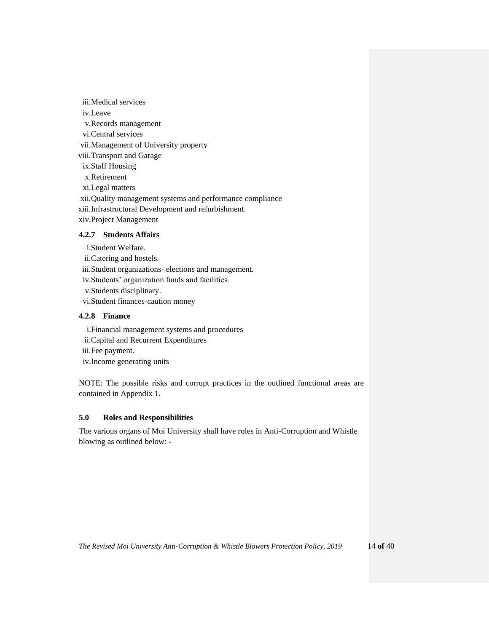iii.Medical services iv.Leave v.Records management vi.Central services vii.Management of University property viii.Transport and Garage ix.Staff Housing x.Retirement xi.Legal matters xii.Quality management systems and performance compliance xiii.Infrastructural Development and refurbishment. xiv.Project Management **4.2.7 Students Affairs**

<span id="page-13-0"></span>i.Student Welfare.

ii.Catering and hostels.

iii.Student organizations- elections and management.

iv.Students' organization funds and facilities.

v.Students disciplinary.

vi.Student finances-caution money

### <span id="page-13-1"></span>**4.2.8 Finance**

i.Financial management systems and procedures

ii.Capital and Recurrent Expenditures

iii.Fee payment.

iv.Income generating units

NOTE: The possible risks and corrupt practices in the outlined functional areas are contained in Appendix 1.

## <span id="page-13-2"></span>**5.0 Roles and Responsibilities**

The various organs of Moi University shall have roles in Anti-Corruption and Whistle blowing as outlined below: **-**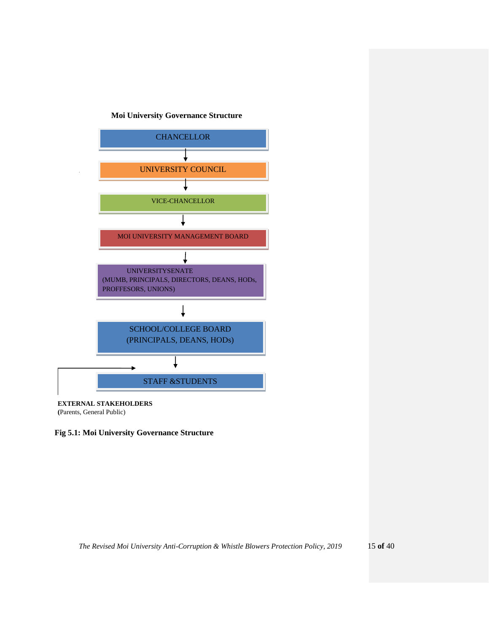## **Moi University Governance Structure**



**(**Parents, General Public)

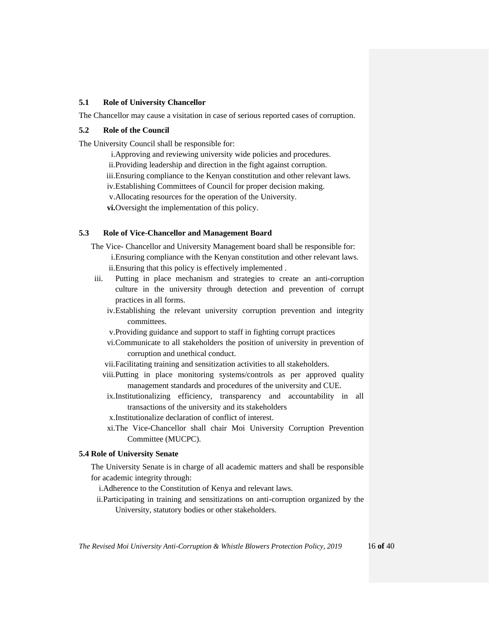## <span id="page-15-0"></span>**5.1 Role of University Chancellor**

The Chancellor may cause a visitation in case of serious reported cases of corruption.

#### <span id="page-15-1"></span>**5.2 Role of the Council**

The University Council shall be responsible for:

i.Approving and reviewing university wide policies and procedures. ii.Providing leadership and direction in the fight against corruption. iii.Ensuring compliance to the Kenyan constitution and other relevant laws. iv.Establishing Committees of Council for proper decision making. v.Allocating resources for the operation of the University. **vi.**Oversight the implementation of this policy.

## <span id="page-15-2"></span>**5.3 Role of Vice-Chancellor and Management Board**

- The Vice- Chancellor and University Management board shall be responsible for: i.Ensuring compliance with the Kenyan constitution and other relevant laws. ii.Ensuring that this policy is effectively implemented .
- iii. Putting in place mechanism and strategies to create an anti-corruption culture in the university through detection and prevention of corrupt practices in all forms.
	- iv.Establishing the relevant university corruption prevention and integrity committees.
	- v.Providing guidance and support to staff in fighting corrupt practices
	- vi.Communicate to all stakeholders the position of university in prevention of corruption and unethical conduct.
	- vii.Facilitating training and sensitization activities to all stakeholders.
	- viii.Putting in place monitoring systems/controls as per approved quality management standards and procedures of the university and CUE.
	- ix.Institutionalizing efficiency, transparency and accountability in all transactions of the university and its stakeholders
	- x.Institutionalize declaration of conflict of interest.
	- xi.The Vice-Chancellor shall chair Moi University Corruption Prevention Committee (MUCPC).

#### <span id="page-15-3"></span>**5.4 Role of University Senate**

The University Senate is in charge of all academic matters and shall be responsible for academic integrity through:

i.Adherence to the Constitution of Kenya and relevant laws.

ii.Participating in training and sensitizations on anti-corruption organized by the University, statutory bodies or other stakeholders.

*The Revised Moi University Anti-Corruption & Whistle Blowers Protection Policy, 2019* 16 **of** 40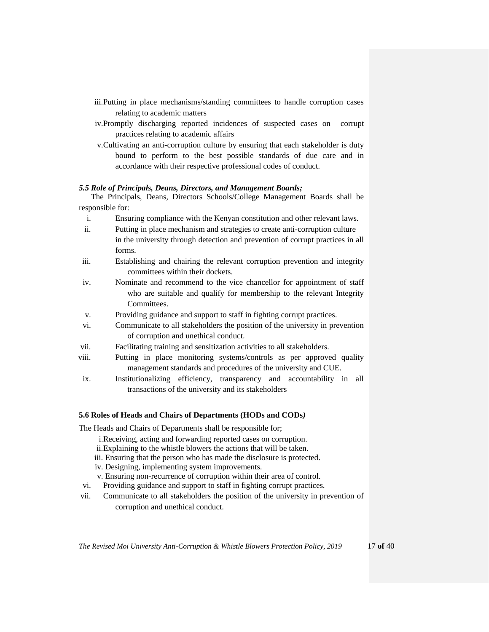- iii.Putting in place mechanisms/standing committees to handle corruption cases relating to academic matters
- iv.Promptly discharging reported incidences of suspected cases on corrupt practices relating to academic affairs
- v.Cultivating an anti-corruption culture by ensuring that each stakeholder is duty bound to perform to the best possible standards of due care and in accordance with their respective professional codes of conduct.

#### <span id="page-16-0"></span>*5.5 Role of Principals, Deans, Directors, and Management Boards;*

The Principals, Deans, Directors Schools/College Management Boards shall be responsible for:

- i. Ensuring compliance with the Kenyan constitution and other relevant laws.
- ii. Putting in place mechanism and strategies to create anti-corruption culture in the university through detection and prevention of corrupt practices in all forms.
- iii. Establishing and chairing the relevant corruption prevention and integrity committees within their dockets.
- iv. Nominate and recommend to the vice chancellor for appointment of staff who are suitable and qualify for membership to the relevant Integrity Committees.
- v. Providing guidance and support to staff in fighting corrupt practices.
- vi. Communicate to all stakeholders the position of the university in prevention of corruption and unethical conduct.
- vii. Facilitating training and sensitization activities to all stakeholders.
- viii. Putting in place monitoring systems/controls as per approved quality management standards and procedures of the university and CUE.
- ix. Institutionalizing efficiency, transparency and accountability in all transactions of the university and its stakeholders

#### <span id="page-16-1"></span>**5.6 Roles of Heads and Chairs of Departments (HODs and CODs***)*

The Heads and Chairs of Departments shall be responsible for;

- i.Receiving, acting and forwarding reported cases on corruption.
- ii.Explaining to the whistle blowers the actions that will be taken.
- iii. Ensuring that the person who has made the disclosure is protected.
- iv. Designing, implementing system improvements.
- v. Ensuring non-recurrence of corruption within their area of control.
- vi. Providing guidance and support to staff in fighting corrupt practices.
- vii. Communicate to all stakeholders the position of the university in prevention of corruption and unethical conduct.

*The Revised Moi University Anti-Corruption & Whistle Blowers Protection Policy, 2019* 17 **of** 40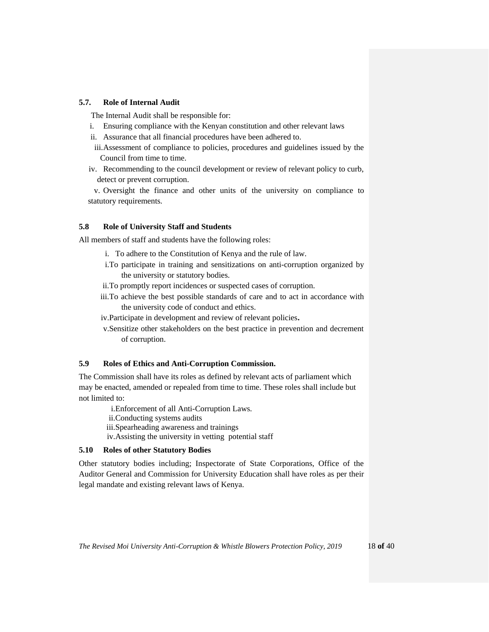### <span id="page-17-0"></span>**5.7. Role of Internal Audit**

The Internal Audit shall be responsible for:

- i. Ensuring compliance with the Kenyan constitution and other relevant laws
- ii. Assurance that all financial procedures have been adhered to.
- iii.Assessment of compliance to policies, procedures and guidelines issued by the Council from time to time.
- iv. Recommending to the council development or review of relevant policy to curb, detect or prevent corruption.

v. Oversight the finance and other units of the university on compliance to statutory requirements.

### <span id="page-17-1"></span>**5.8 Role of University Staff and Students**

All members of staff and students have the following roles:

- i. To adhere to the Constitution of Kenya and the rule of law.
- i.To participate in training and sensitizations on anti-corruption organized by the university or statutory bodies.
- ii.To promptly report incidences or suspected cases of corruption.
- iii.To achieve the best possible standards of care and to act in accordance with the university code of conduct and ethics.
- iv.Participate in development and review of relevant policies**.**
- v.Sensitize other stakeholders on the best practice in prevention and decrement of corruption.

### <span id="page-17-2"></span>**5.9 Roles of Ethics and Anti-Corruption Commission.**

The Commission shall have its roles as defined by relevant acts of parliament which may be enacted, amended or repealed from time to time. These roles shall include but not limited to:

> i.Enforcement of all Anti-Corruption Laws. ii.Conducting systems audits iii.Spearheading awareness and trainings iv.Assisting the university in vetting potential staff

#### <span id="page-17-3"></span>**5.10 Roles of other Statutory Bodies**

Other statutory bodies including; Inspectorate of State Corporations, Office of the Auditor General and Commission for University Education shall have roles as per their legal mandate and existing relevant laws of Kenya.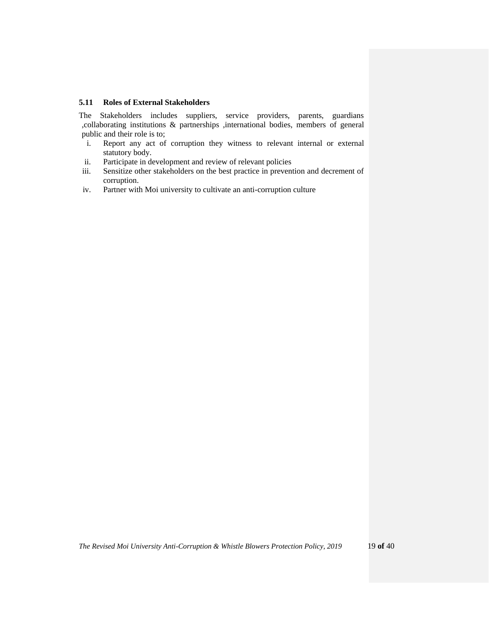## <span id="page-18-0"></span>**5.11 Roles of External Stakeholders**

The Stakeholders includes suppliers, service providers, parents, guardians ,collaborating institutions & partnerships ,international bodies, members of general public and their role is to;

- i. Report any act of corruption they witness to relevant internal or external statutory body.
- ii. Participate in development and review of relevant policies
- iii. Sensitize other stakeholders on the best practice in prevention and decrement of corruption.
- iv. Partner with Moi university to cultivate an anti-corruption culture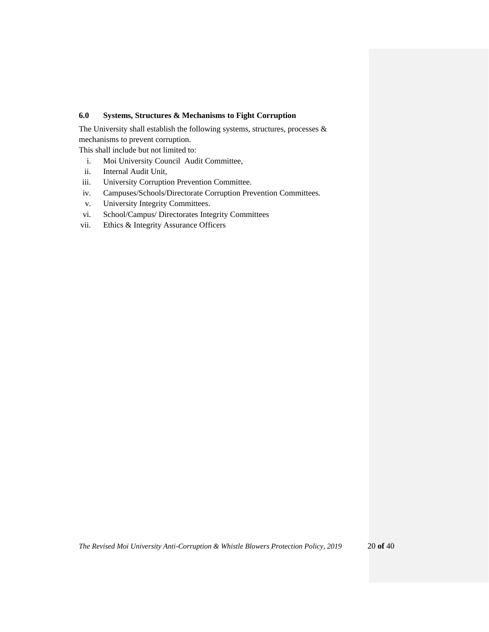## <span id="page-19-0"></span>**6.0 Systems, Structures & Mechanisms to Fight Corruption**

The University shall establish the following systems, structures, processes & mechanisms to prevent corruption.

This shall include but not limited to:

- i. Moi University Council Audit Committee,
- ii. Internal Audit Unit,
- iii. University Corruption Prevention Committee.
- iv. Campuses/Schools/Directorate Corruption Prevention Committees.
- v. University Integrity Committees.
- vi. School/Campus/ Directorates Integrity Committees
- vii. Ethics & Integrity Assurance Officers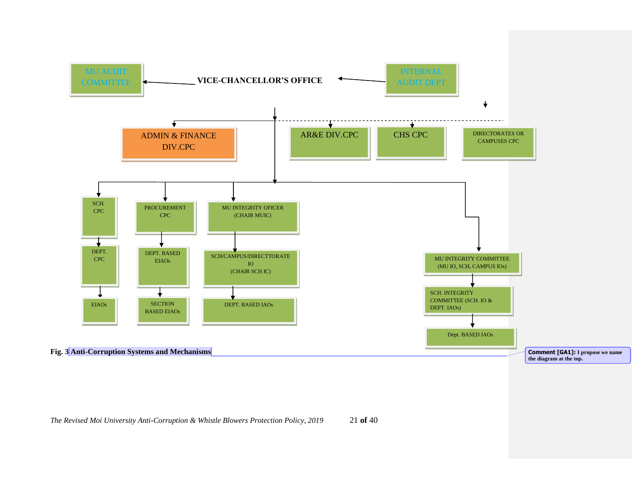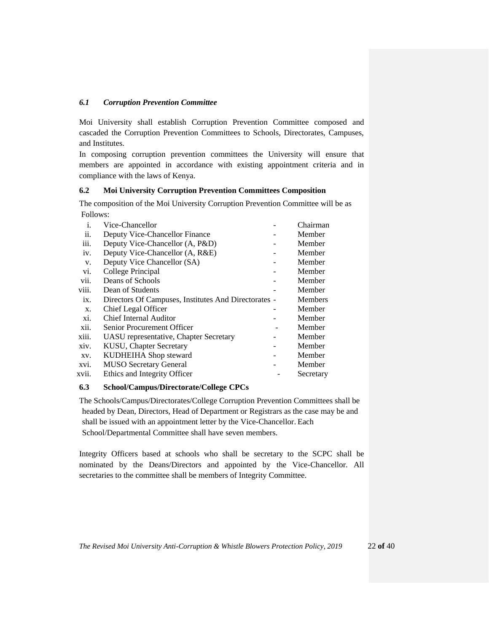## <span id="page-21-0"></span>*6.1 Corruption Prevention Committee*

Moi University shall establish Corruption Prevention Committee composed and cascaded the Corruption Prevention Committees to Schools, Directorates, Campuses, and Institutes.

In composing corruption prevention committees the University will ensure that members are appointed in accordance with existing appointment criteria and in compliance with the laws of Kenya.

## <span id="page-21-1"></span>**6.2 Moi University Corruption Prevention Committees Composition**

The composition of the Moi University Corruption Prevention Committee will be as Follows:

| i.    | Vice-Chancellor                                      | Chairman       |
|-------|------------------------------------------------------|----------------|
| ii.   | Deputy Vice-Chancellor Finance                       | Member         |
| iii.  | Deputy Vice-Chancellor (A, P&D)                      | Member         |
| iv.   | Deputy Vice-Chancellor (A, R&E)                      | Member         |
| V.    | Deputy Vice Chancellor (SA)                          | Member         |
| vi.   | College Principal                                    | Member         |
| vii.  | Deans of Schools                                     | Member         |
| viii. | Dean of Students                                     | Member         |
| ix.   | Directors Of Campuses, Institutes And Directorates - | <b>Members</b> |
| X.    | Chief Legal Officer                                  | Member         |
| xi.   | Chief Internal Auditor                               | Member         |
| xii.  | Senior Procurement Officer                           | Member         |
| xiii. | UASU representative, Chapter Secretary               | Member         |
| xiv.  | <b>KUSU, Chapter Secretary</b>                       | Member         |
| XV.   | KUDHEIHA Shop steward                                | Member         |
| XVI.  | <b>MUSO</b> Secretary General                        | Member         |
| xvii. | Ethics and Integrity Officer                         | Secretary      |
|       |                                                      |                |

#### <span id="page-21-2"></span>**6.3 School/Campus/Directorate/College CPCs**

The Schools/Campus/Directorates/College Corruption Prevention Committees shall be headed by Dean, Directors, Head of Department or Registrars as the case may be and shall be issued with an appointment letter by the Vice-Chancellor. Each School/Departmental Committee shall have seven members.

Integrity Officers based at schools who shall be secretary to the SCPC shall be nominated by the Deans/Directors and appointed by the Vice-Chancellor. All secretaries to the committee shall be members of Integrity Committee.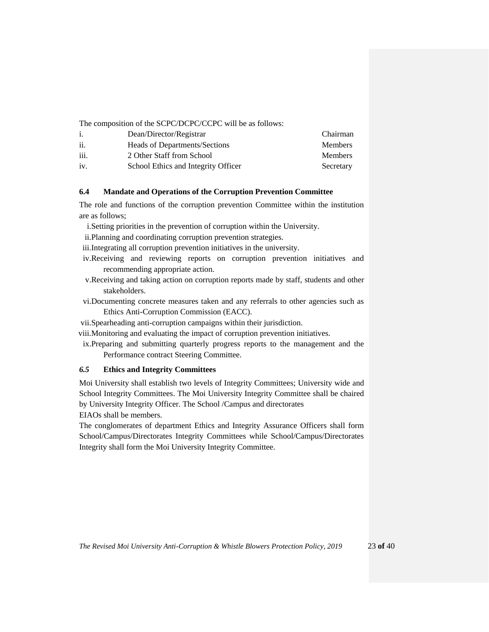The composition of the SCPC/DCPC/CCPC will be as follows:

| 1.   | Dean/Director/Registrar             | Chairman       |
|------|-------------------------------------|----------------|
| ii.  | Heads of Departments/Sections       | <b>Members</b> |
| iii. | 2 Other Staff from School           | <b>Members</b> |
| iv.  | School Ethics and Integrity Officer | Secretary      |

## <span id="page-22-0"></span>**6.4 Mandate and Operations of the Corruption Prevention Committee**

The role and functions of the corruption prevention Committee within the institution are as follows;

- i.Setting priorities in the prevention of corruption within the University.
- ii.Planning and coordinating corruption prevention strategies.

iii.Integrating all corruption prevention initiatives in the university.

- iv.Receiving and reviewing reports on corruption prevention initiatives and recommending appropriate action.
- v.Receiving and taking action on corruption reports made by staff, students and other stakeholders.
- vi.Documenting concrete measures taken and any referrals to other agencies such as Ethics Anti-Corruption Commission (EACC).
- vii.Spearheading anti-corruption campaigns within their jurisdiction.
- viii.Monitoring and evaluating the impact of corruption prevention initiatives.
- ix.Preparing and submitting quarterly progress reports to the management and the Performance contract Steering Committee.

# <span id="page-22-1"></span>*6.5* **Ethics and Integrity Committees**

Moi University shall establish two levels of Integrity Committees; University wide and School Integrity Committees. The Moi University Integrity Committee shall be chaired by University Integrity Officer. The School /Campus and directorates

EIAOs shall be members.

The conglomerates of department Ethics and Integrity Assurance Officers shall form School/Campus/Directorates Integrity Committees while School/Campus/Directorates Integrity shall form the Moi University Integrity Committee.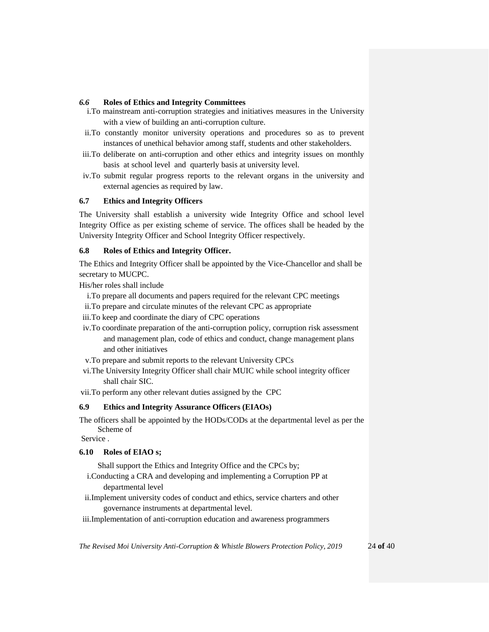### <span id="page-23-0"></span>*6.6* **Roles of Ethics and Integrity Committees**

- i.To mainstream anti-corruption strategies and initiatives measures in the University with a view of building an anti-corruption culture.
- ii.To constantly monitor university operations and procedures so as to prevent instances of unethical behavior among staff, students and other stakeholders.
- iii.To deliberate on anti-corruption and other ethics and integrity issues on monthly basis at school level and quarterly basis at university level.
- iv.To submit regular progress reports to the relevant organs in the university and external agencies as required by law.

## <span id="page-23-1"></span>**6.7 Ethics and Integrity Officers**

The University shall establish a university wide Integrity Office and school level Integrity Office as per existing scheme of service. The offices shall be headed by the University Integrity Officer and School Integrity Officer respectively.

## <span id="page-23-2"></span>**6.8 Roles of Ethics and Integrity Officer.**

The Ethics and Integrity Officer shall be appointed by the Vice-Chancellor and shall be secretary to MUCPC.

His/her roles shall include

i.To prepare all documents and papers required for the relevant CPC meetings

- ii.To prepare and circulate minutes of the relevant CPC as appropriate
- iii.To keep and coordinate the diary of CPC operations
- iv.To coordinate preparation of the anti-corruption policy, corruption risk assessment and management plan, code of ethics and conduct, change management plans and other initiatives
- v.To prepare and submit reports to the relevant University CPCs
- vi.The University Integrity Officer shall chair MUIC while school integrity officer shall chair SIC.
- vii.To perform any other relevant duties assigned by the CPC

## <span id="page-23-3"></span>**6.9 Ethics and Integrity Assurance Officers (EIAOs)**

The officers shall be appointed by the HODs/CODs at the departmental level as per the Scheme of

Service .

## <span id="page-23-4"></span>**6.10 Roles of EIAO s;**

Shall support the Ethics and Integrity Office and the CPCs by;

- i.Conducting a CRA and developing and implementing a Corruption PP at departmental level
- ii.Implement university codes of conduct and ethics, service charters and other governance instruments at departmental level.
- iii.Implementation of anti-corruption education and awareness programmers

*The Revised Moi University Anti-Corruption & Whistle Blowers Protection Policy, 2019* 24 **of** 40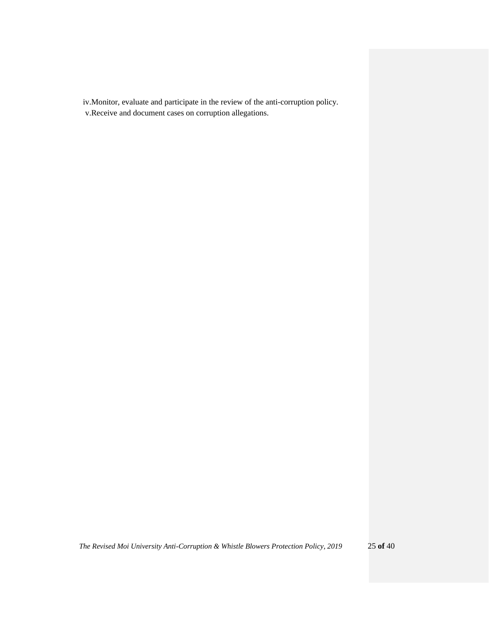iv.Monitor, evaluate and participate in the review of the anti-corruption policy.

v.Receive and document cases on corruption allegations.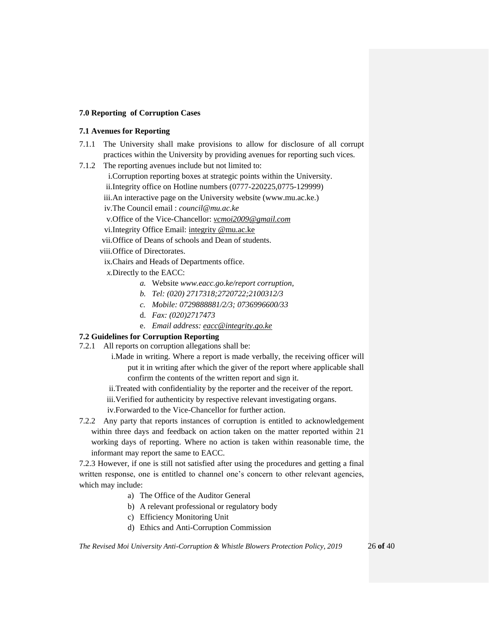### <span id="page-25-0"></span>**7.0 Reporting of Corruption Cases**

## <span id="page-25-1"></span>**7.1 Avenues for Reporting**

- 7.1.1 The University shall make provisions to allow for disclosure of all corrupt practices within the University by providing avenues for reporting such vices.
- 7.1.2 The reporting avenues include but not limited to:
	- i.Corruption reporting boxes at strategic points within the University.
	- ii.Integrity office on Hotline numbers (0777-220225,0775-129999)
	- iii.An interactive page on the University website (www.mu.ac.ke.)
	- iv.The Council email : *council@mu.ac.ke*
	- v.Office of the Vice-Chancellor: *[vcmoi2009@gmail.com](mailto:vcmoi2009@gmail.com)*
	- vi.Integrity Office Email: integrity @mu.ac.ke
	- vii.Office of Deans of schools and Dean of students.
	- viii.Office of Directorates.
		- ix.Chairs and Heads of Departments office.
		- *x.*Directly to the EACC:
			- *a.* Website *[www.eacc.go.ke/report](http://www.eacc.go.ke/report) corruption,*
			- *b. Tel: (020) 2717318;2720722;2100312/3*
			- *c. Mobile: 0729888881/2/3; 0736996600/33*
			- d. *Fax: (020)2717473*
			- e. *Email address: [eacc@integrity.go.ke](mailto:eacc@integrity.go.ke)*

## <span id="page-25-2"></span>**7.2 Guidelines for Corruption Reporting**

- 7.2.1 All reports on corruption allegations shall be:
	- i.Made in writing. Where a report is made verbally, the receiving officer will put it in writing after which the giver of the report where applicable shall confirm the contents of the written report and sign it.
	- ii.Treated with confidentiality by the reporter and the receiver of the report.
	- iii.Verified for authenticity by respective relevant investigating organs.
	- iv.Forwarded to the Vice-Chancellor for further action.
- 7.2.2 Any party that reports instances of corruption is entitled to acknowledgement within three days and feedback on action taken on the matter reported within 21 working days of reporting. Where no action is taken within reasonable time, the informant may report the same to EACC.

7.2.3 However, if one is still not satisfied after using the procedures and getting a final written response, one is entitled to channel one's concern to other relevant agencies, which may include:

- a) The Office of the Auditor General
- b) A relevant professional or regulatory body
- c) Efficiency Monitoring Unit
- d) Ethics and Anti-Corruption Commission

*The Revised Moi University Anti-Corruption & Whistle Blowers Protection Policy, 2019* 26 **of** 40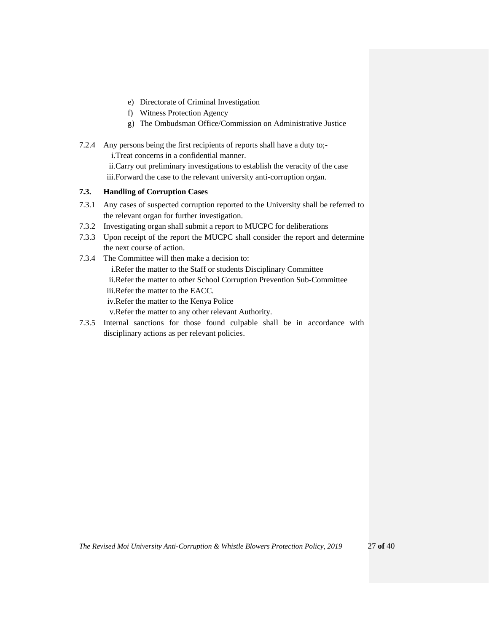- e) Directorate of Criminal Investigation
- f) Witness Protection Agency
- g) The Ombudsman Office/Commission on Administrative Justice
- 7.2.4 Any persons being the first recipients of reports shall have a duty to; i.Treat concerns in a confidential manner. ii.Carry out preliminary investigations to establish the veracity of the case iii.Forward the case to the relevant university anti-corruption organ.

### <span id="page-26-0"></span>**7.3. Handling of Corruption Cases**

- 7.3.1 Any cases of suspected corruption reported to the University shall be referred to the relevant organ for further investigation.
- 7.3.2 Investigating organ shall submit a report to MUCPC for deliberations
- 7.3.3 Upon receipt of the report the MUCPC shall consider the report and determine the next course of action.
- 7.3.4 The Committee will then make a decision to: i.Refer the matter to the Staff or students Disciplinary Committee ii.Refer the matter to other School Corruption Prevention Sub-Committee iii.Refer the matter to the EACC. iv.Refer the matter to the Kenya Police v.Refer the matter to any other relevant Authority.
- 7.3.5 Internal sanctions for those found culpable shall be in accordance with disciplinary actions as per relevant policies.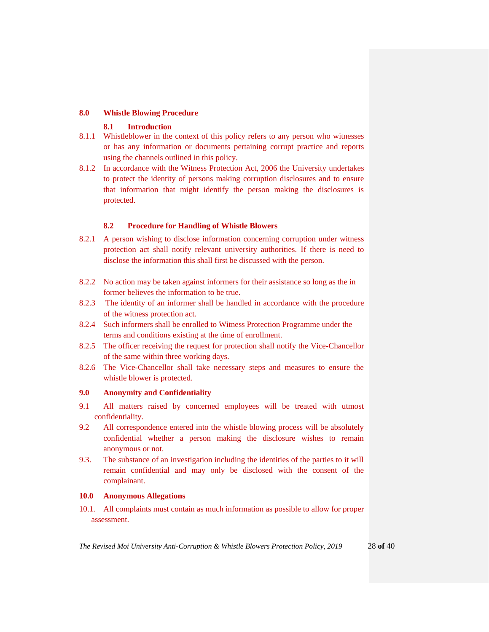## <span id="page-27-0"></span>**8.0 Whistle Blowing Procedure**

## **8.1 Introduction**

- <span id="page-27-1"></span>8.1.1 Whistleblower in the context of this policy refers to any person who witnesses or has any information or documents pertaining corrupt practice and reports using the channels outlined in this policy.
- 8.1.2 In accordance with the Witness Protection Act, 2006 the University undertakes to protect the identity of persons making corruption disclosures and to ensure that information that might identify the person making the disclosures is protected.

## **8.2 Procedure for Handling of Whistle Blowers**

- <span id="page-27-2"></span>8.2.1 A person wishing to disclose information concerning corruption under witness protection act shall notify relevant university authorities. If there is need to disclose the information this shall first be discussed with the person.
- 8.2.2 No action may be taken against informers for their assistance so long as the in former believes the information to be true.
- 8.2.3 The identity of an informer shall be handled in accordance with the procedure of the witness protection act.
- 8.2.4 Such informers shall be enrolled to Witness Protection Programme under the terms and conditions existing at the time of enrollment.
- 8.2.5 The officer receiving the request for protection shall notify the Vice-Chancellor of the same within three working days.
- 8.2.6 The Vice-Chancellor shall take necessary steps and measures to ensure the whistle blower is protected.

## <span id="page-27-3"></span>**9.0 Anonymity and Confidentiality**

- 9.1 All matters raised by concerned employees will be treated with utmost confidentiality.
- 9.2 All correspondence entered into the whistle blowing process will be absolutely confidential whether a person making the disclosure wishes to remain anonymous or not.
- 9.3. The substance of an investigation including the identities of the parties to it will remain confidential and may only be disclosed with the consent of the complainant.

## <span id="page-27-4"></span>**10.0 Anonymous Allegations**

10.1. All complaints must contain as much information as possible to allow for proper assessment.

*The Revised Moi University Anti-Corruption & Whistle Blowers Protection Policy, 2019* 28 **of** 40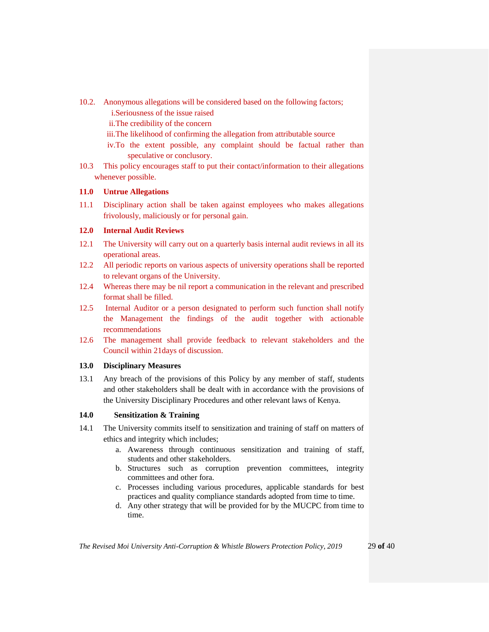- 10.2. Anonymous allegations will be considered based on the following factors;
	- i.Seriousness of the issue raised
	- ii.The credibility of the concern
	- iii.The likelihood of confirming the allegation from attributable source
	- iv.To the extent possible, any complaint should be factual rather than speculative or conclusory.
- 10.3 This policy encourages staff to put their contact/information to their allegations whenever possible.

## <span id="page-28-0"></span>**11.0 Untrue Allegations**

11.1 Disciplinary action shall be taken against employees who makes allegations frivolously, maliciously or for personal gain.

## <span id="page-28-1"></span>**12.0 Internal Audit Reviews**

- 12.1 The University will carry out on a quarterly basis internal audit reviews in all its operational areas.
- 12.2 All periodic reports on various aspects of university operations shall be reported to relevant organs of the University.
- 12.4 Whereas there may be nil report a communication in the relevant and prescribed format shall be filled.
- 12.5 Internal Auditor or a person designated to perform such function shall notify the Management the findings of the audit together with actionable recommendations
- 12.6 The management shall provide feedback to relevant stakeholders and the Council within 21days of discussion.

## <span id="page-28-2"></span>**13.0 Disciplinary Measures**

13.1 Any breach of the provisions of this Policy by any member of staff, students and other stakeholders shall be dealt with in accordance with the provisions of the University Disciplinary Procedures and other relevant laws of Kenya.

# **14.0 Sensitization & Training**

- 14.1 The University commits itself to sensitization and training of staff on matters of ethics and integrity which includes;
	- a. Awareness through continuous sensitization and training of staff, students and other stakeholders.
	- b. Structures such as corruption prevention committees, integrity committees and other fora.
	- c. Processes including various procedures, applicable standards for best practices and quality compliance standards adopted from time to time.
	- d. Any other strategy that will be provided for by the MUCPC from time to time.

*The Revised Moi University Anti-Corruption & Whistle Blowers Protection Policy, 2019* 29 **of** 40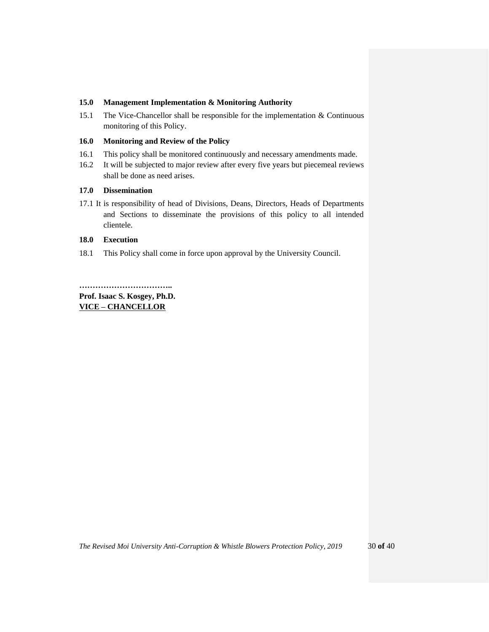## <span id="page-29-0"></span>**15.0 Management Implementation & Monitoring Authority**

15.1 The Vice-Chancellor shall be responsible for the implementation & Continuous monitoring of this Policy.

## <span id="page-29-1"></span>**16.0 Monitoring and Review of the Policy**

- 16.1 This policy shall be monitored continuously and necessary amendments made.
- 16.2 It will be subjected to major review after every five years but piecemeal reviews shall be done as need arises.

## <span id="page-29-2"></span>**17.0 Dissemination**

17.1 It is responsibility of head of Divisions, Deans, Directors, Heads of Departments and Sections to disseminate the provisions of this policy to all intended clientele.

## <span id="page-29-3"></span>**18.0 Execution**

18.1 This Policy shall come in force upon approval by the University Council.

**…………………………….. Prof. Isaac S. Kosgey, Ph.D. VICE – CHANCELLOR**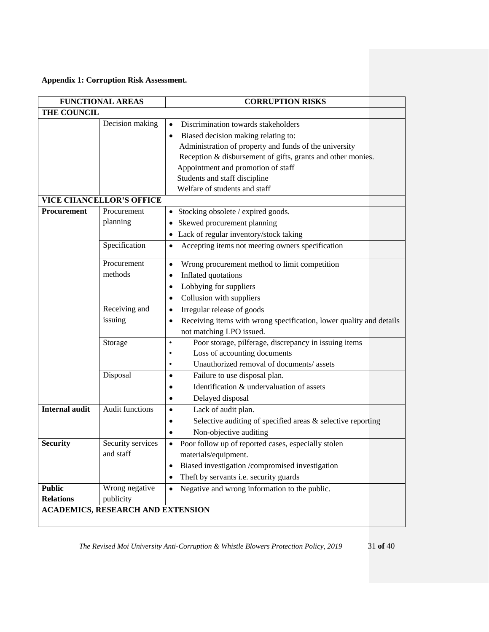<span id="page-30-0"></span>**Appendix 1: Corruption Risk Assessment.**

| <b>FUNCTIONAL AREAS</b>           |                                                                                                | <b>CORRUPTION RISKS</b>                                                                                                                                                                                                                                                                                                                                                                                                                                                                                         |
|-----------------------------------|------------------------------------------------------------------------------------------------|-----------------------------------------------------------------------------------------------------------------------------------------------------------------------------------------------------------------------------------------------------------------------------------------------------------------------------------------------------------------------------------------------------------------------------------------------------------------------------------------------------------------|
| <b>THE COUNCIL</b>                |                                                                                                |                                                                                                                                                                                                                                                                                                                                                                                                                                                                                                                 |
| Procurement                       | Decision making<br><b>VICE CHANCELLOR'S OFFICE</b><br>Procurement<br>planning<br>Specification | Discrimination towards stakeholders<br>Biased decision making relating to:<br>٠<br>Administration of property and funds of the university<br>Reception & disbursement of gifts, grants and other monies.<br>Appointment and promotion of staff<br>Students and staff discipline<br>Welfare of students and staff<br>Stocking obsolete / expired goods.<br>$\bullet$<br>Skewed procurement planning<br>$\bullet$<br>• Lack of regular inventory/stock taking<br>Accepting items not meeting owners specification |
|                                   | Procurement<br>methods<br>Receiving and<br>issuing                                             | Wrong procurement method to limit competition<br>$\bullet$<br>Inflated quotations<br>Lobbying for suppliers<br>٠<br>Collusion with suppliers<br>Irregular release of goods<br>$\bullet$<br>Receiving items with wrong specification, lower quality and details<br>not matching LPO issued.                                                                                                                                                                                                                      |
|                                   | Storage<br>Disposal                                                                            | Poor storage, pilferage, discrepancy in issuing items<br>$\bullet$<br>Loss of accounting documents<br>٠<br>Unauthorized removal of documents/assets<br>٠<br>Failure to use disposal plan.<br>$\bullet$<br>Identification & undervaluation of assets<br>Delayed disposal                                                                                                                                                                                                                                         |
| <b>Internal audit</b>             | <b>Audit functions</b>                                                                         | Lack of audit plan.<br>$\bullet$<br>Selective auditing of specified areas & selective reporting<br>Non-objective auditing                                                                                                                                                                                                                                                                                                                                                                                       |
| <b>Security</b>                   | Security services<br>and staff                                                                 | Poor follow up of reported cases, especially stolen<br>$\bullet$<br>materials/equipment.<br>Biased investigation /compromised investigation<br>Theft by servants i.e. security guards<br>٠                                                                                                                                                                                                                                                                                                                      |
| <b>Public</b><br><b>Relations</b> | Wrong negative<br>publicity<br><b>ACADEMICS, RESEARCH AND EXTENSION</b>                        | Negative and wrong information to the public.                                                                                                                                                                                                                                                                                                                                                                                                                                                                   |
|                                   |                                                                                                |                                                                                                                                                                                                                                                                                                                                                                                                                                                                                                                 |

*The Revised Moi University Anti-Corruption & Whistle Blowers Protection Policy, 2019* 31 **of** 40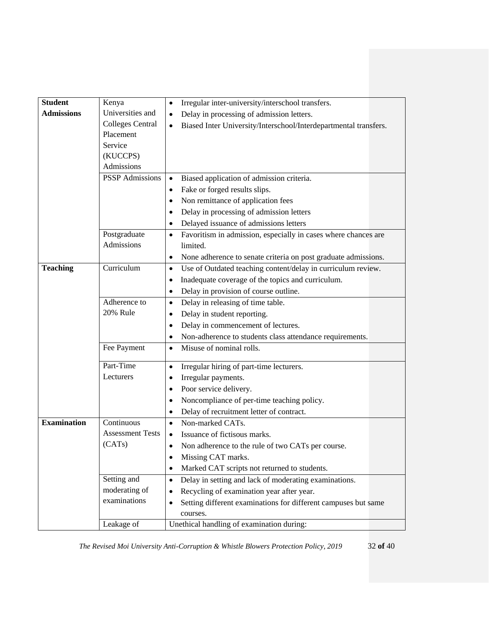| <b>Student</b>     | Kenya                   | Irregular inter-university/interschool transfers.<br>٠                        |  |
|--------------------|-------------------------|-------------------------------------------------------------------------------|--|
| <b>Admissions</b>  | Universities and        | Delay in processing of admission letters.<br>$\bullet$                        |  |
|                    | <b>Colleges Central</b> | Biased Inter University/Interschool/Interdepartmental transfers.<br>$\bullet$ |  |
|                    | Placement               |                                                                               |  |
|                    | Service                 |                                                                               |  |
|                    | (KUCCPS)                |                                                                               |  |
|                    | Admissions              |                                                                               |  |
|                    | <b>PSSP</b> Admissions  | Biased application of admission criteria.<br>$\bullet$                        |  |
|                    |                         | Fake or forged results slips.<br>٠                                            |  |
|                    |                         | Non remittance of application fees<br>٠                                       |  |
|                    |                         | Delay in processing of admission letters<br>٠                                 |  |
|                    |                         | Delayed issuance of admissions letters<br>٠                                   |  |
|                    | Postgraduate            | Favoritism in admission, especially in cases where chances are<br>$\bullet$   |  |
|                    | Admissions              | limited.                                                                      |  |
|                    |                         | None adherence to senate criteria on post graduate admissions.<br>٠           |  |
| <b>Teaching</b>    | Curriculum              | Use of Outdated teaching content/delay in curriculum review.<br>$\bullet$     |  |
|                    |                         | Inadequate coverage of the topics and curriculum.<br>٠                        |  |
|                    |                         | Delay in provision of course outline.<br>٠                                    |  |
|                    | Adherence to            | Delay in releasing of time table.<br>٠                                        |  |
|                    | <b>20% Rule</b>         | Delay in student reporting.<br>٠                                              |  |
|                    |                         | Delay in commencement of lectures.                                            |  |
|                    |                         | Non-adherence to students class attendance requirements.<br>٠                 |  |
|                    | Fee Payment             | Misuse of nominal rolls.<br>$\bullet$                                         |  |
|                    |                         |                                                                               |  |
|                    | Part-Time               | Irregular hiring of part-time lecturers.<br>$\bullet$                         |  |
|                    | Lecturers               | Irregular payments.                                                           |  |
|                    |                         | Poor service delivery.<br>٠                                                   |  |
|                    |                         | Noncompliance of per-time teaching policy.<br>٠                               |  |
|                    |                         | Delay of recruitment letter of contract.<br>٠                                 |  |
| <b>Examination</b> | Continuous              | Non-marked CATs.<br>$\bullet$                                                 |  |
|                    | <b>Assessment Tests</b> | Issuance of fictisous marks.                                                  |  |
|                    | (CATs)                  | Non adherence to the rule of two CATs per course.                             |  |
|                    |                         | Missing CAT marks.<br>٠                                                       |  |
|                    |                         | Marked CAT scripts not returned to students.                                  |  |
|                    | Setting and             | Delay in setting and lack of moderating examinations.<br>٠                    |  |
|                    | moderating of           | Recycling of examination year after year.                                     |  |
|                    | examinations            | Setting different examinations for different campuses but same                |  |
|                    |                         | courses.                                                                      |  |
|                    | Leakage of              | Unethical handling of examination during:                                     |  |

*The Revised Moi University Anti-Corruption & Whistle Blowers Protection Policy, 2019* 32 **of** 40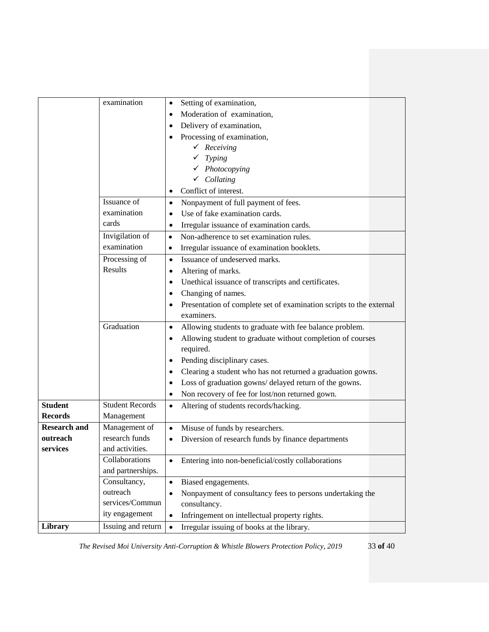|                     | examination            | Setting of examination,<br>$\bullet$                                 |
|---------------------|------------------------|----------------------------------------------------------------------|
|                     |                        | Moderation of examination,<br>٠                                      |
|                     |                        | Delivery of examination,                                             |
|                     |                        | Processing of examination,                                           |
|                     |                        | Receiving                                                            |
|                     |                        | Typing                                                               |
|                     |                        | $\checkmark$ Photocopying                                            |
|                     |                        | $\checkmark$ Collating                                               |
|                     |                        | Conflict of interest.<br>$\bullet$                                   |
|                     | Issuance of            | Nonpayment of full payment of fees.<br>$\bullet$                     |
|                     | examination            | Use of fake examination cards.                                       |
|                     | cards                  | Irregular issuance of examination cards.<br>٠                        |
|                     | Invigilation of        | Non-adherence to set examination rules.<br>$\bullet$                 |
|                     | examination            | Irregular issuance of examination booklets.<br>٠                     |
|                     | Processing of          | Issuance of undeserved marks.<br>$\bullet$                           |
|                     | Results                | Altering of marks.                                                   |
|                     |                        | Unethical issuance of transcripts and certificates.<br>٠             |
|                     |                        | Changing of names.                                                   |
|                     |                        | Presentation of complete set of examination scripts to the external  |
|                     |                        | examiners.                                                           |
|                     | Graduation             | Allowing students to graduate with fee balance problem.<br>$\bullet$ |
|                     |                        | Allowing student to graduate without completion of courses           |
|                     |                        | required.                                                            |
|                     |                        | Pending disciplinary cases.                                          |
|                     |                        | Clearing a student who has not returned a graduation gowns.<br>٠     |
|                     |                        | Loss of graduation gowns/ delayed return of the gowns.<br>٠          |
|                     |                        | Non recovery of fee for lost/non returned gown.<br>٠                 |
| <b>Student</b>      | <b>Student Records</b> | Altering of students records/hacking.<br>$\bullet$                   |
| <b>Records</b>      | Management             |                                                                      |
| <b>Research and</b> | Management of          | Misuse of funds by researchers.<br>$\bullet$                         |
| outreach            | research funds         | Diversion of research funds by finance departments                   |
| services            | and activities.        |                                                                      |
|                     | Collaborations         | Entering into non-beneficial/costly collaborations<br>$\bullet$      |
|                     | and partnerships.      |                                                                      |
|                     | Consultancy,           | Biased engagements.<br>$\bullet$                                     |
|                     | outreach               | Nonpayment of consultancy fees to persons undertaking the            |
|                     | services/Commun        | consultancy.                                                         |
|                     | ity engagement         | Infringement on intellectual property rights.<br>$\bullet$           |
| Library             | Issuing and return     | Irregular issuing of books at the library.<br>$\bullet$              |
|                     |                        |                                                                      |

*The Revised Moi University Anti-Corruption & Whistle Blowers Protection Policy, 2019* 33 **of** 40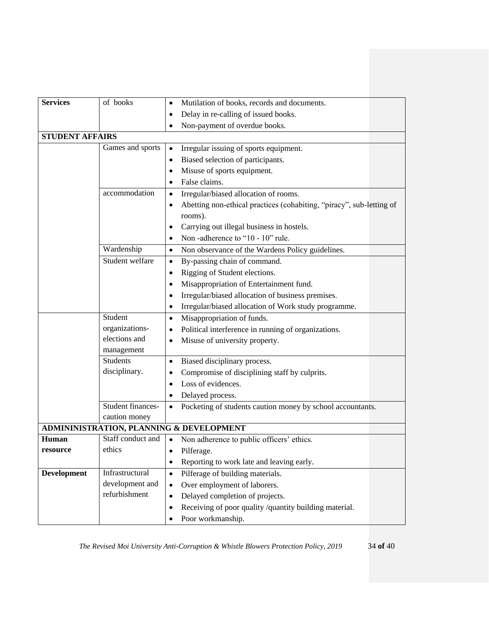| <b>Services</b>        | of books          | Mutilation of books, records and documents.<br>٠                                |
|------------------------|-------------------|---------------------------------------------------------------------------------|
|                        |                   | Delay in re-calling of issued books.                                            |
|                        |                   | Non-payment of overdue books.                                                   |
| <b>STUDENT AFFAIRS</b> |                   |                                                                                 |
|                        | Games and sports  | Irregular issuing of sports equipment.<br>$\bullet$                             |
|                        |                   | Biased selection of participants.<br>٠                                          |
|                        |                   | Misuse of sports equipment.                                                     |
|                        |                   | False claims.                                                                   |
|                        | accommodation     | Irregular/biased allocation of rooms.<br>٠                                      |
|                        |                   | Abetting non-ethical practices (cohabiting, "piracy", sub-letting of<br>rooms). |
|                        |                   | Carrying out illegal business in hostels.                                       |
|                        |                   | Non-adherence to "10 - 10" rule.                                                |
|                        | Wardenship        | Non observance of the Wardens Policy guidelines.<br>$\bullet$                   |
|                        | Student welfare   | By-passing chain of command.<br>$\bullet$                                       |
|                        |                   | Rigging of Student elections.                                                   |
|                        |                   | Misappropriation of Entertainment fund.                                         |
|                        |                   | Irregular/biased allocation of business premises.                               |
|                        |                   | Irregular/biased allocation of Work study programme.<br>٠                       |
|                        | Student           | Misappropriation of funds.<br>٠                                                 |
|                        | organizations-    | Political interference in running of organizations.                             |
|                        | elections and     | Misuse of university property.                                                  |
|                        | management        |                                                                                 |
|                        | <b>Students</b>   | Biased disciplinary process.<br>٠                                               |
|                        | disciplinary.     | Compromise of disciplining staff by culprits.                                   |
|                        |                   | Loss of evidences.<br>٠                                                         |
|                        |                   | Delayed process.                                                                |
|                        | Student finances- | Pocketing of students caution money by school accountants.                      |
|                        | caution money     |                                                                                 |
|                        |                   | ADMININISTRATION, PLANNING & DEVELOPMENT                                        |
| <b>Human</b>           | Staff conduct and | Non adherence to public officers' ethics.                                       |
| resource               | ethics            | Pilferage.<br>$\bullet$                                                         |
|                        |                   | Reporting to work late and leaving early.<br>٠                                  |
| <b>Development</b>     | Infrastructural   | Pilferage of building materials.<br>$\bullet$                                   |
|                        | development and   | Over employment of laborers.<br>$\bullet$                                       |
|                        | refurbishment     | Delayed completion of projects.<br>$\bullet$                                    |
|                        |                   | Receiving of poor quality /quantity building material.<br>٠                     |
|                        |                   | Poor workmanship.<br>٠                                                          |

*The Revised Moi University Anti-Corruption & Whistle Blowers Protection Policy, 2019* 34 **of** 40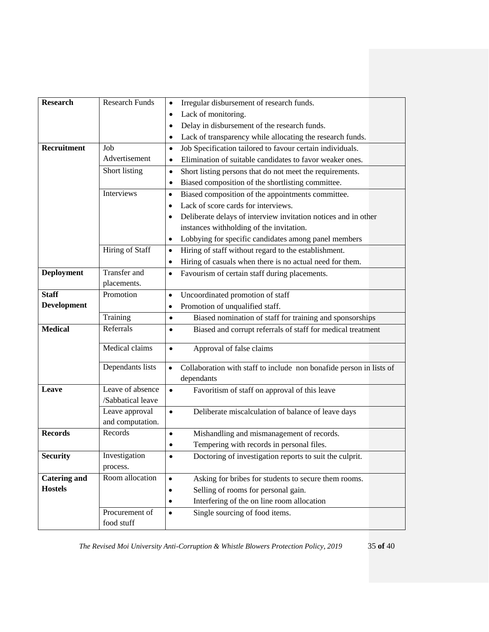| <b>Research</b>     | <b>Research Funds</b>                 | Irregular disbursement of research funds.<br>٠                                                 |
|---------------------|---------------------------------------|------------------------------------------------------------------------------------------------|
|                     |                                       | Lack of monitoring.<br>٠                                                                       |
|                     |                                       | Delay in disbursement of the research funds.<br>٠                                              |
|                     |                                       | Lack of transparency while allocating the research funds.<br>٠                                 |
| Recruitment         | Job                                   | Job Specification tailored to favour certain individuals.<br>٠                                 |
|                     | Advertisement                         | Elimination of suitable candidates to favor weaker ones.<br>٠                                  |
|                     | Short listing                         | Short listing persons that do not meet the requirements.<br>$\bullet$                          |
|                     |                                       | Biased composition of the shortlisting committee.<br>٠                                         |
|                     | Interviews                            | Biased composition of the appointments committee.<br>$\bullet$                                 |
|                     |                                       | Lack of score cards for interviews.                                                            |
|                     |                                       | Deliberate delays of interview invitation notices and in other                                 |
|                     |                                       | instances withholding of the invitation.                                                       |
|                     |                                       | Lobbying for specific candidates among panel members<br>٠                                      |
|                     | Hiring of Staff                       | Hiring of staff without regard to the establishment.<br>$\bullet$                              |
|                     |                                       | Hiring of casuals when there is no actual need for them.<br>$\bullet$                          |
| <b>Deployment</b>   | <b>Transfer</b> and                   | Favourism of certain staff during placements.<br>٠                                             |
|                     | placements.                           |                                                                                                |
| <b>Staff</b>        | Promotion                             | Uncoordinated promotion of staff<br>$\bullet$                                                  |
| Development         |                                       | Promotion of unqualified staff.                                                                |
|                     | Training                              | Biased nomination of staff for training and sponsorships<br>$\bullet$                          |
| <b>Medical</b>      | Referrals                             | Biased and corrupt referrals of staff for medical treatment                                    |
|                     | Medical claims                        | Approval of false claims<br>$\bullet$                                                          |
|                     | Dependants lists                      | Collaboration with staff to include non bonafide person in lists of<br>$\bullet$<br>dependants |
| Leave               | Leave of absence<br>/Sabbatical leave | Favoritism of staff on approval of this leave<br>$\bullet$                                     |
|                     | Leave approval                        | Deliberate miscalculation of balance of leave days<br>$\bullet$                                |
|                     | and computation.                      |                                                                                                |
| <b>Records</b>      | Records                               | Mishandling and mismanagement of records.<br>$\bullet$                                         |
|                     |                                       | Tempering with records in personal files.                                                      |
| <b>Security</b>     | Investigation                         | Doctoring of investigation reports to suit the culprit.<br>٠                                   |
|                     | process.                              |                                                                                                |
| <b>Catering and</b> | Room allocation                       | Asking for bribes for students to secure them rooms.<br>$\bullet$                              |
| <b>Hostels</b>      |                                       | Selling of rooms for personal gain.                                                            |
|                     |                                       | Interfering of the on line room allocation                                                     |
|                     | Procurement of<br>food stuff          | Single sourcing of food items.<br>$\bullet$                                                    |

*The Revised Moi University Anti-Corruption & Whistle Blowers Protection Policy, 2019* 35 **of** 40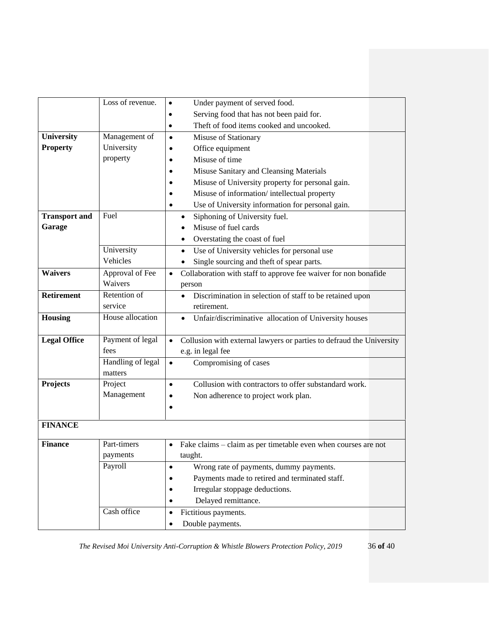|                      | $\overline{\text{Loss of revenue}}$ . | Under payment of served food.<br>$\bullet$                                   |
|----------------------|---------------------------------------|------------------------------------------------------------------------------|
|                      |                                       | Serving food that has not been paid for.<br>$\bullet$                        |
|                      |                                       | Theft of food items cooked and uncooked.<br>$\bullet$                        |
| University           | Management of                         | Misuse of Stationary<br>$\bullet$                                            |
| <b>Property</b>      | University                            | Office equipment                                                             |
|                      | property                              | Misuse of time                                                               |
|                      |                                       | Misuse Sanitary and Cleansing Materials                                      |
|                      |                                       | Misuse of University property for personal gain.                             |
|                      |                                       | Misuse of information/intellectual property                                  |
|                      |                                       | Use of University information for personal gain.                             |
| <b>Transport and</b> | Fuel                                  | Siphoning of University fuel.<br>$\bullet$                                   |
| Garage               |                                       | Misuse of fuel cards                                                         |
|                      |                                       | Overstating the coast of fuel                                                |
|                      | University                            | Use of University vehicles for personal use<br>$\bullet$                     |
|                      | Vehicles                              | Single sourcing and theft of spear parts.                                    |
| <b>Waivers</b>       | Approval of Fee                       | Collaboration with staff to approve fee waiver for non bonafide<br>$\bullet$ |
|                      | Waivers                               | person                                                                       |
| <b>Retirement</b>    | Retention of                          | Discrimination in selection of staff to be retained upon<br>$\bullet$        |
|                      | service                               | retirement.                                                                  |
| <b>Housing</b>       | House allocation                      | Unfair/discriminative allocation of University houses<br>$\bullet$           |
| <b>Legal Office</b>  | Payment of legal                      | Collusion with external lawyers or parties to defraud the University         |
|                      | fees                                  | e.g. in legal fee                                                            |
|                      | Handling of legal                     | Compromising of cases<br>$\bullet$                                           |
|                      | matters                               |                                                                              |
| Projects             | Project                               | Collusion with contractors to offer substandard work.<br>$\bullet$           |
|                      | Management                            | Non adherence to project work plan.<br>$\bullet$                             |
|                      |                                       |                                                                              |
| <b>FINANCE</b>       |                                       |                                                                              |
| <b>Finance</b>       | Part-timers                           | Fake claims – claim as per timetable even when courses are not<br>$\bullet$  |
|                      | payments                              | taught.                                                                      |
|                      | Payroll                               | Wrong rate of payments, dummy payments.<br>$\bullet$                         |
|                      |                                       | Payments made to retired and terminated staff.                               |
|                      |                                       | Irregular stoppage deductions.                                               |
|                      |                                       | Delayed remittance.                                                          |
|                      | Cash office                           | Fictitious payments.<br>$\bullet$                                            |
|                      |                                       | Double payments.<br>٠                                                        |

*The Revised Moi University Anti-Corruption & Whistle Blowers Protection Policy, 2019* 36 **of** 40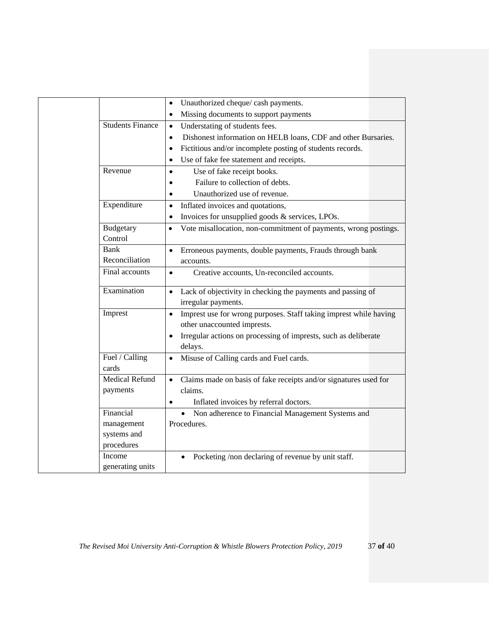|                         | Unauthorized cheque/ cash payments.<br>$\bullet$                               |
|-------------------------|--------------------------------------------------------------------------------|
|                         | Missing documents to support payments<br>$\bullet$                             |
| <b>Students Finance</b> | Understating of students fees.<br>$\bullet$                                    |
|                         | Dishonest information on HELB loans, CDF and other Bursaries.<br>$\bullet$     |
|                         | Fictitious and/or incomplete posting of students records.<br>$\bullet$         |
|                         | Use of fake fee statement and receipts.<br>$\bullet$                           |
| Revenue                 | Use of fake receipt books.<br>$\bullet$                                        |
|                         | Failure to collection of debts.                                                |
|                         | Unauthorized use of revenue.<br>$\bullet$                                      |
| Expenditure             | Inflated invoices and quotations,<br>$\bullet$                                 |
|                         | Invoices for unsupplied goods & services, LPOs.<br>$\bullet$                   |
| <b>Budgetary</b>        | Vote misallocation, non-commitment of payments, wrong postings.<br>$\bullet$   |
| Control                 |                                                                                |
| Bank                    | Erroneous payments, double payments, Frauds through bank<br>$\bullet$          |
| Reconciliation          | accounts.                                                                      |
| Final accounts          | Creative accounts, Un-reconciled accounts.<br>$\bullet$                        |
|                         |                                                                                |
| Examination             | Lack of objectivity in checking the payments and passing of<br>$\bullet$       |
|                         | irregular payments.                                                            |
| Imprest                 | Imprest use for wrong purposes. Staff taking imprest while having<br>$\bullet$ |
|                         | other unaccounted imprests.                                                    |
|                         | Irregular actions on processing of imprests, such as deliberate                |
|                         | delays.                                                                        |
| Fuel / Calling          | Misuse of Calling cards and Fuel cards.<br>$\bullet$                           |
| cards                   |                                                                                |
| Medical Refund          | Claims made on basis of fake receipts and/or signatures used for<br>$\bullet$  |
| payments                | claims.                                                                        |
|                         | Inflated invoices by referral doctors.                                         |
| Financial               | Non adherence to Financial Management Systems and<br>$\bullet$                 |
| management              | Procedures.                                                                    |
| systems and             |                                                                                |
| procedures              |                                                                                |
| Income                  | Pocketing /non declaring of revenue by unit staff.                             |
| generating units        |                                                                                |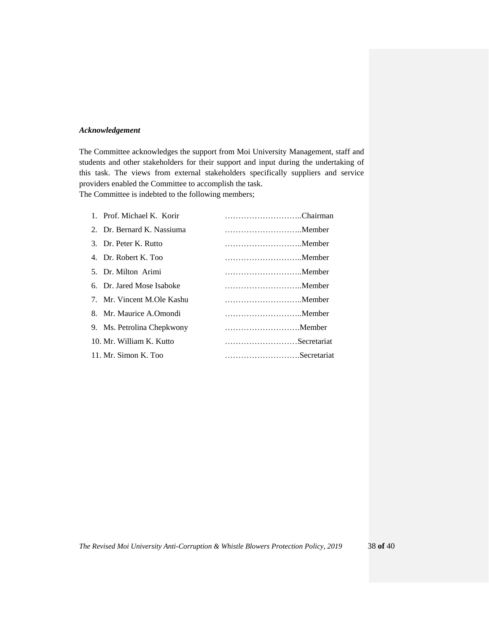## <span id="page-37-0"></span>*Acknowledgement*

The Committee acknowledges the support from Moi University Management, staff and students and other stakeholders for their support and input during the undertaking of this task. The views from external stakeholders specifically suppliers and service providers enabled the Committee to accomplish the task.

The Committee is indebted to the following members;

| 1. Prof. Michael K. Korir  | Chairman    |
|----------------------------|-------------|
| 2. Dr. Bernard K. Nassiuma |             |
| 3. Dr. Peter K. Rutto      |             |
| 4. Dr. Robert K. Too       |             |
| 5. Dr. Milton Arimi        | Member      |
| 6. Dr. Jared Mose Isaboke  |             |
| 7. Mr. Vincent M.Ole Kashu |             |
| 8. Mr. Maurice A.Omondi    |             |
| 9. Ms. Petrolina Chepkwony | Member      |
| 10. Mr. William K. Kutto   | Secretariat |
| 11. Mr. Simon K. Too       | Secretariat |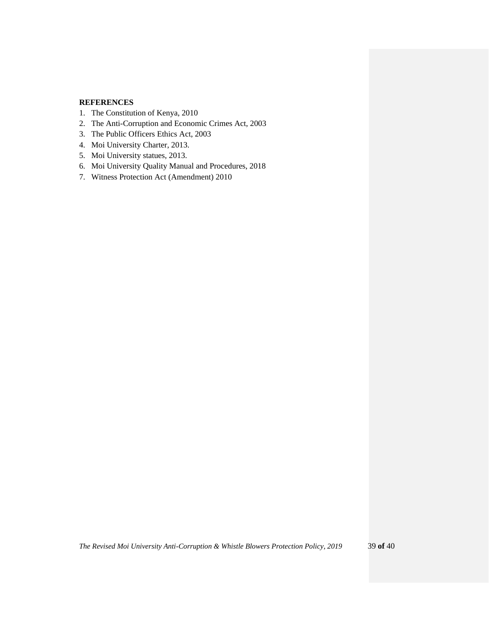## <span id="page-38-0"></span>**REFERENCES**

- 1. The Constitution of Kenya, 2010
- 2. The Anti-Corruption and Economic Crimes Act, 2003
- 3. The Public Officers Ethics Act, 2003
- 4. Moi University Charter, 2013.
- 5. Moi University statues, 2013.
- 6. Moi University Quality Manual and Procedures, 2018
- 7. Witness Protection Act (Amendment) 2010